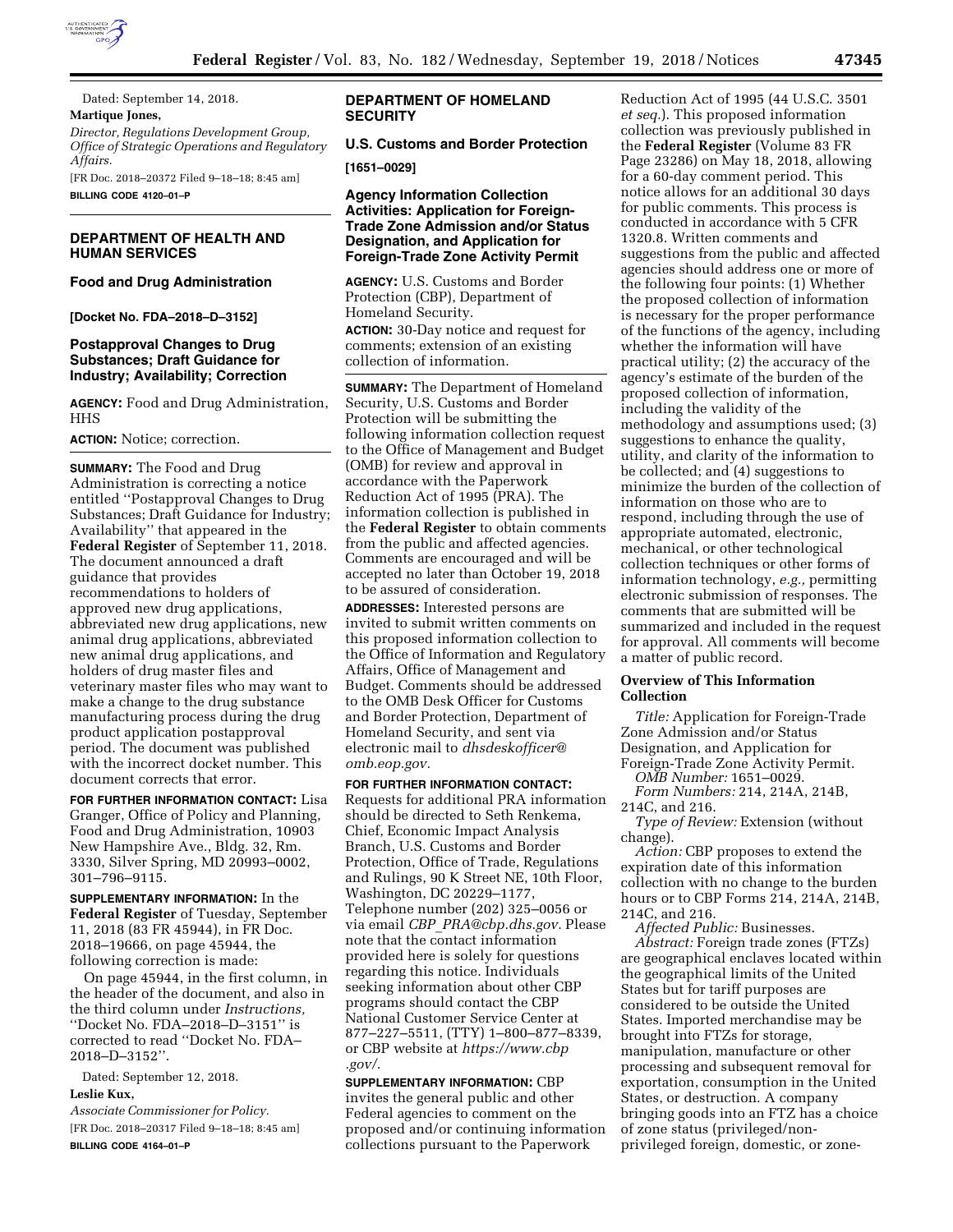

Dated: September 14, 2018. **Martique Jones,**  *Director, Regulations Development Group, Office of Strategic Operations and Regulatory Affairs.* 

[FR Doc. 2018–20372 Filed 9–18–18; 8:45 am]

**BILLING CODE 4120–01–P** 

## **DEPARTMENT OF HEALTH AND HUMAN SERVICES**

#### **Food and Drug Administration**

**[Docket No. FDA–2018–D–3152]** 

## **Postapproval Changes to Drug Substances; Draft Guidance for Industry; Availability; Correction**

**AGENCY:** Food and Drug Administration, HHS

#### **ACTION:** Notice; correction.

**SUMMARY:** The Food and Drug Administration is correcting a notice entitled ''Postapproval Changes to Drug Substances; Draft Guidance for Industry; Availability'' that appeared in the **Federal Register** of September 11, 2018. The document announced a draft guidance that provides recommendations to holders of approved new drug applications, abbreviated new drug applications, new animal drug applications, abbreviated new animal drug applications, and holders of drug master files and veterinary master files who may want to make a change to the drug substance manufacturing process during the drug product application postapproval period. The document was published with the incorrect docket number. This document corrects that error.

**FOR FURTHER INFORMATION CONTACT:** Lisa Granger, Office of Policy and Planning, Food and Drug Administration, 10903 New Hampshire Ave., Bldg. 32, Rm. 3330, Silver Spring, MD 20993–0002, 301–796–9115.

**SUPPLEMENTARY INFORMATION:** In the **Federal Register** of Tuesday, September 11, 2018 (83 FR 45944), in FR Doc. 2018–19666, on page 45944, the following correction is made:

On page 45944, in the first column, in the header of the document, and also in the third column under *Instructions,*  ''Docket No. FDA–2018–D–3151'' is corrected to read ''Docket No. FDA– 2018–D–3152''.

Dated: September 12, 2018. **Leslie Kux,** 

*Associate Commissioner for Policy.*  [FR Doc. 2018–20317 Filed 9–18–18; 8:45 am] **BILLING CODE 4164–01–P** 

## **DEPARTMENT OF HOMELAND SECURITY**

**U.S. Customs and Border Protection** 

# **[1651–0029]**

**Agency Information Collection Activities: Application for Foreign-Trade Zone Admission and/or Status Designation, and Application for Foreign-Trade Zone Activity Permit** 

**AGENCY:** U.S. Customs and Border Protection (CBP), Department of Homeland Security. **ACTION:** 30-Day notice and request for comments; extension of an existing collection of information.

**SUMMARY:** The Department of Homeland Security, U.S. Customs and Border Protection will be submitting the following information collection request to the Office of Management and Budget (OMB) for review and approval in accordance with the Paperwork Reduction Act of 1995 (PRA). The information collection is published in the **Federal Register** to obtain comments from the public and affected agencies. Comments are encouraged and will be accepted no later than October 19, 2018 to be assured of consideration.

**ADDRESSES:** Interested persons are invited to submit written comments on this proposed information collection to the Office of Information and Regulatory Affairs, Office of Management and Budget. Comments should be addressed to the OMB Desk Officer for Customs and Border Protection, Department of Homeland Security, and sent via electronic mail to *[dhsdeskofficer@](mailto:dhsdeskofficer@omb.eop.gov) [omb.eop.gov.](mailto:dhsdeskofficer@omb.eop.gov)* 

**FOR FURTHER INFORMATION CONTACT:**  Requests for additional PRA information should be directed to Seth Renkema, Chief, Economic Impact Analysis Branch, U.S. Customs and Border Protection, Office of Trade, Regulations and Rulings, 90 K Street NE, 10th Floor, Washington, DC 20229–1177, Telephone number (202) 325–0056 or via email *CBP*\_*[PRA@cbp.dhs.gov.](mailto:CBP_PRA@cbp.dhs.gov)* Please note that the contact information provided here is solely for questions regarding this notice. Individuals seeking information about other CBP programs should contact the CBP National Customer Service Center at 877–227–5511, (TTY) 1–800–877–8339, or CBP website at *[https://www.cbp](https://www.cbp.gov/) [.gov/.](https://www.cbp.gov/)* 

**SUPPLEMENTARY INFORMATION:** CBP invites the general public and other Federal agencies to comment on the proposed and/or continuing information collections pursuant to the Paperwork

Reduction Act of 1995 (44 U.S.C. 3501 *et seq.*). This proposed information collection was previously published in the **Federal Register** (Volume 83 FR Page 23286) on May 18, 2018, allowing for a 60-day comment period. This notice allows for an additional 30 days for public comments. This process is conducted in accordance with 5 CFR 1320.8. Written comments and suggestions from the public and affected agencies should address one or more of the following four points: (1) Whether the proposed collection of information is necessary for the proper performance of the functions of the agency, including whether the information will have practical utility; (2) the accuracy of the agency's estimate of the burden of the proposed collection of information, including the validity of the methodology and assumptions used; (3) suggestions to enhance the quality, utility, and clarity of the information to be collected; and (4) suggestions to minimize the burden of the collection of information on those who are to respond, including through the use of appropriate automated, electronic, mechanical, or other technological collection techniques or other forms of information technology, *e.g.,* permitting electronic submission of responses. The comments that are submitted will be summarized and included in the request for approval. All comments will become a matter of public record.

## **Overview of This Information Collection**

*Title:* Application for Foreign-Trade Zone Admission and/or Status Designation, and Application for Foreign-Trade Zone Activity Permit.

*OMB Number:* 1651–0029. *Form Numbers:* 214, 214A, 214B,

214C, and 216. *Type of Review:* Extension (without

change).

*Action:* CBP proposes to extend the expiration date of this information collection with no change to the burden hours or to CBP Forms 214, 214A, 214B, 214C, and 216.

*Affected Public:* Businesses. *Abstract:* Foreign trade zones (FTZs) are geographical enclaves located within the geographical limits of the United States but for tariff purposes are considered to be outside the United States. Imported merchandise may be brought into FTZs for storage, manipulation, manufacture or other processing and subsequent removal for exportation, consumption in the United States, or destruction. A company bringing goods into an FTZ has a choice of zone status (privileged/nonprivileged foreign, domestic, or zone